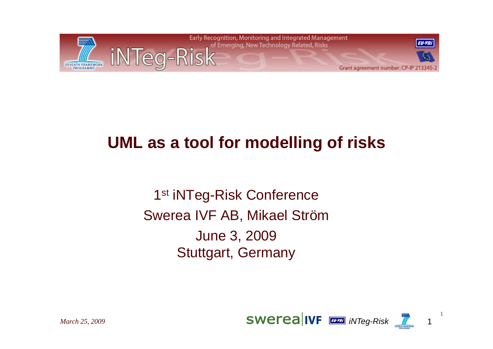

#### **UML as a tool for modelling of risks**

1<sup>st</sup> iNTeg-Risk Conference Swerea IVF AB, Mikael Ström June 3, 2009 Stuttgart, Germany

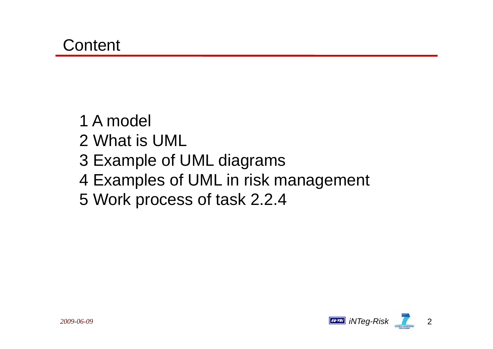1 A model 2 What is UML 3 Example of UML diagrams 4 Examples of UML in risk management 5 Work process of task 2.2.4

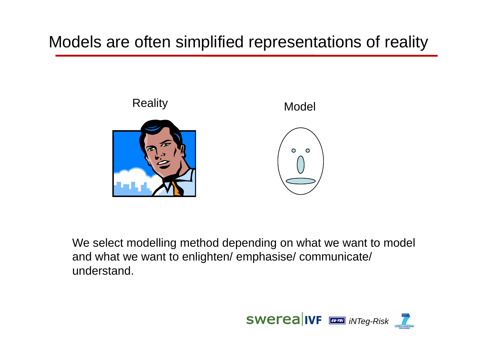### Models are often simplified representations of reality



We select modelling method depending on what we want to model and what we want to enlighten/ emphasise/ communicate/ understand.

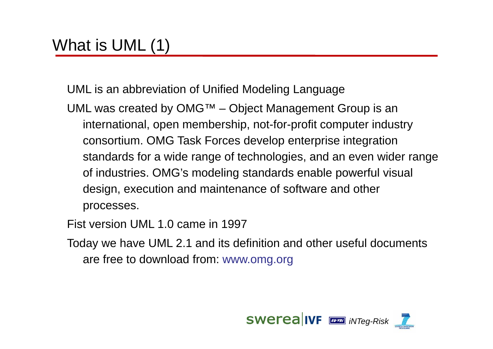UML is an abbreviation of Unified Modeling Language

UML was created by OMG™ – Object Management Group is an international, open membership, not-for-profit computer industry consortium. OMG Task Forces develop enterprise integration standards for a wide range of technologies, and an even wider range of industries. OMG's modeling standards enable powerful visual design, execution and maintenance of software and other processes.

Fist version UML 1.0 came in 1997

Today we have UML 2.1 and its definition and other useful documents are free to download from: www.omg.org

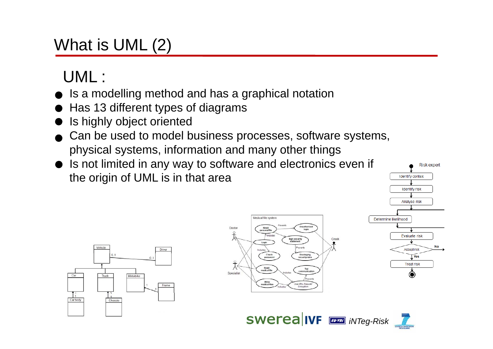# What is UML (2)

# UML :

- Is a modelling method and has a graphical notation
- **Has 13 different types of diagrams**
- Is highly object oriented
- Can be used to model business processes, software systems, physical systems, information and many other things
- Is not limited in any way to software and electronics even if the origin of UML is in that area







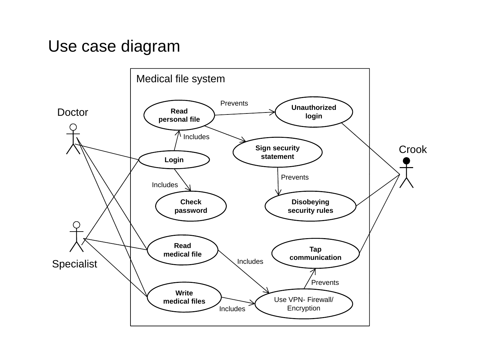#### Use case diagram

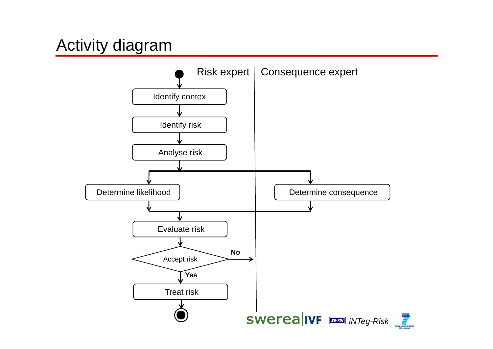## Activity diagram

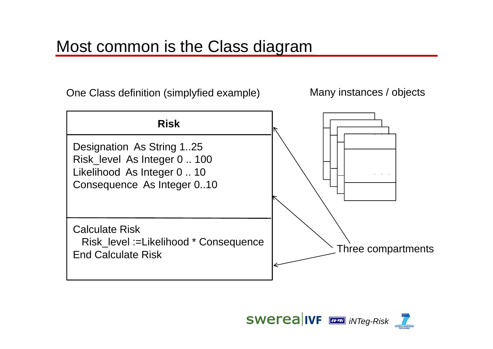One Class definition (simplyfied example) Many instances / objects One

Many instances / objects



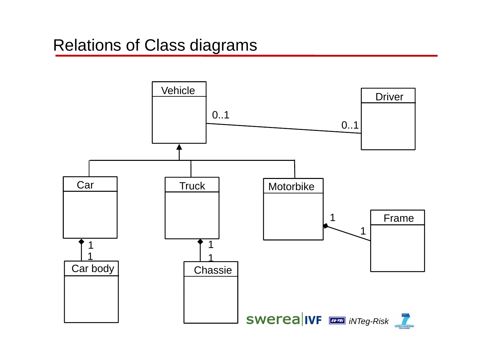### Relations of Class diagrams

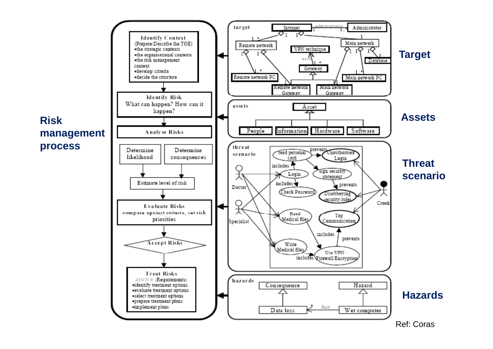**Riskmanagement process**



Ref: Coras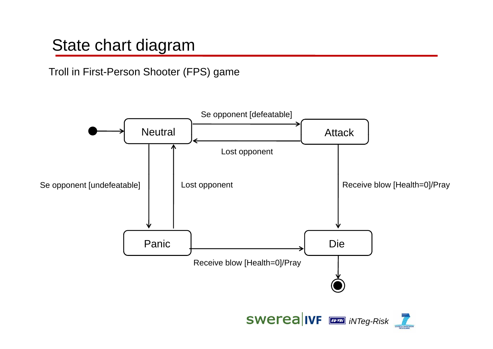### State chart diagram

Troll in First-Person Shooter (FPS) game

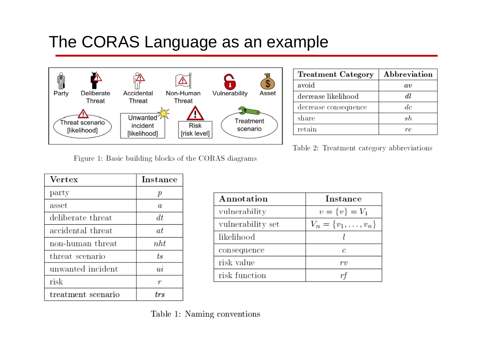### The CORAS Language as an example



| <b>Treatment Category</b> | Abbreviation |
|---------------------------|--------------|
| avoid                     | av           |
| decrease likelihood       | dl           |
| decrease consequence      | dc           |
| share                     | sh           |
| retain                    | re           |

Table 2: Treatment category abbreviations

Figure 1: Basic building blocks of the CORAS diagrams

| Vertex             | Instance       |
|--------------------|----------------|
| party              | р              |
| asset              | a              |
| deliberate threat  | dt             |
| accidental threat  | at             |
| non-human threat   | nht            |
| threat scenario    | ts             |
| unwanted incident  | $\overline{u}$ |
| risk               | r              |
| treatment scenario | trs            |

| Annotation        | Instance                     |
|-------------------|------------------------------|
| vulnerability     | $v = \{v\} = V_1$            |
| vulnerability set | $V_n = \{v_1, \ldots, v_n\}$ |
| likelihood        |                              |
| consequence       | C                            |
| risk value        | rv                           |
| risk function     |                              |

Table 1: Naming conventions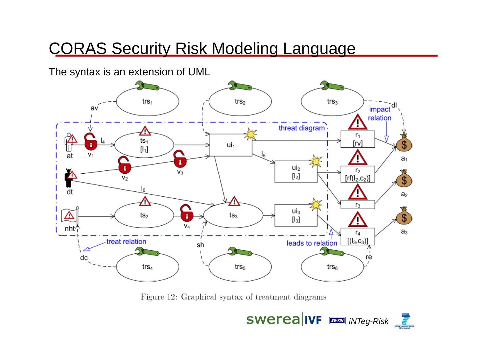### CORAS Security Risk Modeling Language

The syntax is an extension of UML



Figure 12: Graphical syntax of treatment diagrams

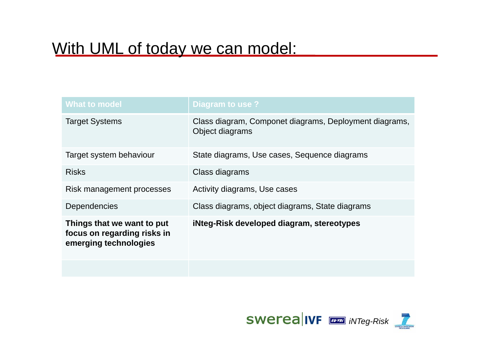### With UML of today we can model:

| <b>What to model</b>                                                               | Diagram to use ?                                                          |
|------------------------------------------------------------------------------------|---------------------------------------------------------------------------|
| <b>Target Systems</b>                                                              | Class diagram, Componet diagrams, Deployment diagrams,<br>Object diagrams |
| Target system behaviour                                                            | State diagrams, Use cases, Sequence diagrams                              |
| <b>Risks</b>                                                                       | Class diagrams                                                            |
| Risk management processes                                                          | Activity diagrams, Use cases                                              |
| <b>Dependencies</b>                                                                | Class diagrams, object diagrams, State diagrams                           |
| Things that we want to put<br>focus on regarding risks in<br>emerging technologies | iNteg-Risk developed diagram, stereotypes                                 |
|                                                                                    |                                                                           |

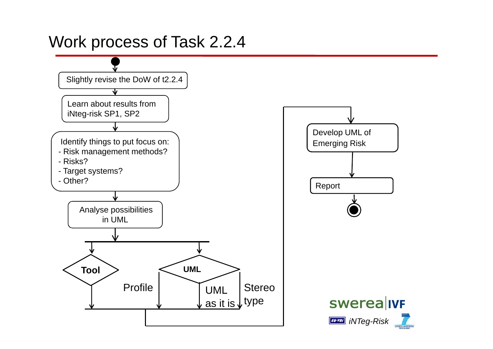#### Work process of Task 2.2.4



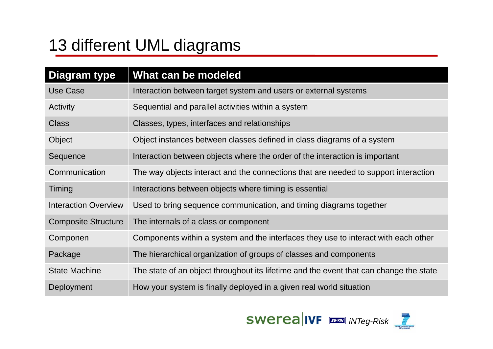# 13 different UML diagrams

| <b>Diagram type</b>         | What can be modeled                                                                    |
|-----------------------------|----------------------------------------------------------------------------------------|
| Use Case                    | Interaction between target system and users or external systems                        |
| <b>Activity</b>             | Sequential and parallel activities within a system                                     |
| <b>Class</b>                | Classes, types, interfaces and relationships                                           |
| Object                      | Object instances between classes defined in class diagrams of a system                 |
| Sequence                    | Interaction between objects where the order of the interaction is important            |
| Communication               | The way objects interact and the connections that are needed to support interaction    |
| Timing                      | Interactions between objects where timing is essential                                 |
| <b>Interaction Overview</b> | Used to bring sequence communication, and timing diagrams together                     |
| <b>Composite Structure</b>  | The internals of a class or component                                                  |
| Componen                    | Components within a system and the interfaces they use to interact with each other     |
| Package                     | The hierarchical organization of groups of classes and components                      |
| <b>State Machine</b>        | The state of an object throughout its lifetime and the event that can change the state |
| Deployment                  | How your system is finally deployed in a given real world situation                    |